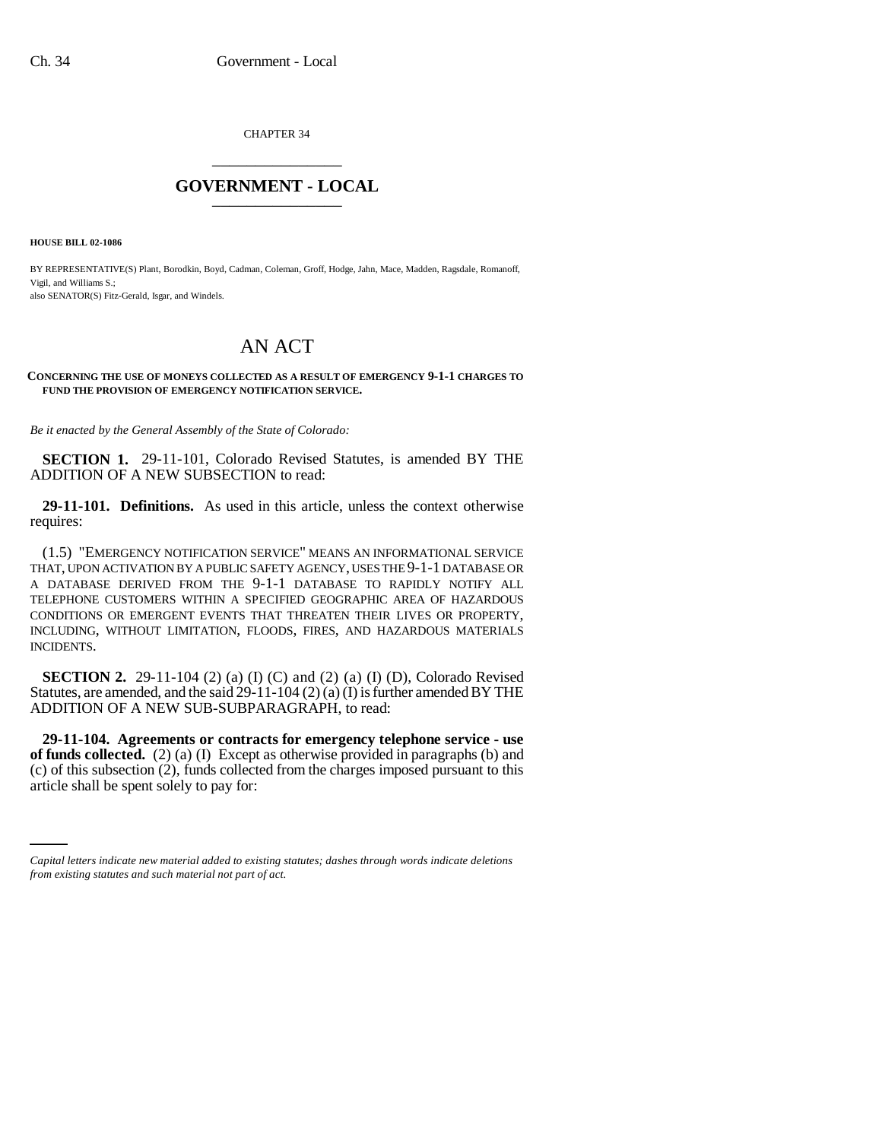CHAPTER 34 \_\_\_\_\_\_\_\_\_\_\_\_\_\_\_

## **GOVERNMENT - LOCAL** \_\_\_\_\_\_\_\_\_\_\_\_\_\_\_

**HOUSE BILL 02-1086**

BY REPRESENTATIVE(S) Plant, Borodkin, Boyd, Cadman, Coleman, Groff, Hodge, Jahn, Mace, Madden, Ragsdale, Romanoff, Vigil, and Williams S.; also SENATOR(S) Fitz-Gerald, Isgar, and Windels.

## AN ACT

## **CONCERNING THE USE OF MONEYS COLLECTED AS A RESULT OF EMERGENCY 9-1-1 CHARGES TO FUND THE PROVISION OF EMERGENCY NOTIFICATION SERVICE.**

*Be it enacted by the General Assembly of the State of Colorado:*

**SECTION 1.** 29-11-101, Colorado Revised Statutes, is amended BY THE ADDITION OF A NEW SUBSECTION to read:

**29-11-101. Definitions.** As used in this article, unless the context otherwise requires:

(1.5) "EMERGENCY NOTIFICATION SERVICE" MEANS AN INFORMATIONAL SERVICE THAT, UPON ACTIVATION BY A PUBLIC SAFETY AGENCY, USES THE 9-1-1 DATABASE OR A DATABASE DERIVED FROM THE 9-1-1 DATABASE TO RAPIDLY NOTIFY ALL TELEPHONE CUSTOMERS WITHIN A SPECIFIED GEOGRAPHIC AREA OF HAZARDOUS CONDITIONS OR EMERGENT EVENTS THAT THREATEN THEIR LIVES OR PROPERTY, INCLUDING, WITHOUT LIMITATION, FLOODS, FIRES, AND HAZARDOUS MATERIALS INCIDENTS.

**SECTION 2.** 29-11-104 (2) (a) (I) (C) and (2) (a) (I) (D), Colorado Revised Statutes, are amended, and the said 29-11-104 (2) (a) (I) is further amended BY THE ADDITION OF A NEW SUB-SUBPARAGRAPH, to read:

(c) of this subsection (2), funds collected from the charges imposed pursuant to this **29-11-104. Agreements or contracts for emergency telephone service - use of funds collected.** (2) (a) (I) Except as otherwise provided in paragraphs (b) and article shall be spent solely to pay for:

*Capital letters indicate new material added to existing statutes; dashes through words indicate deletions from existing statutes and such material not part of act.*